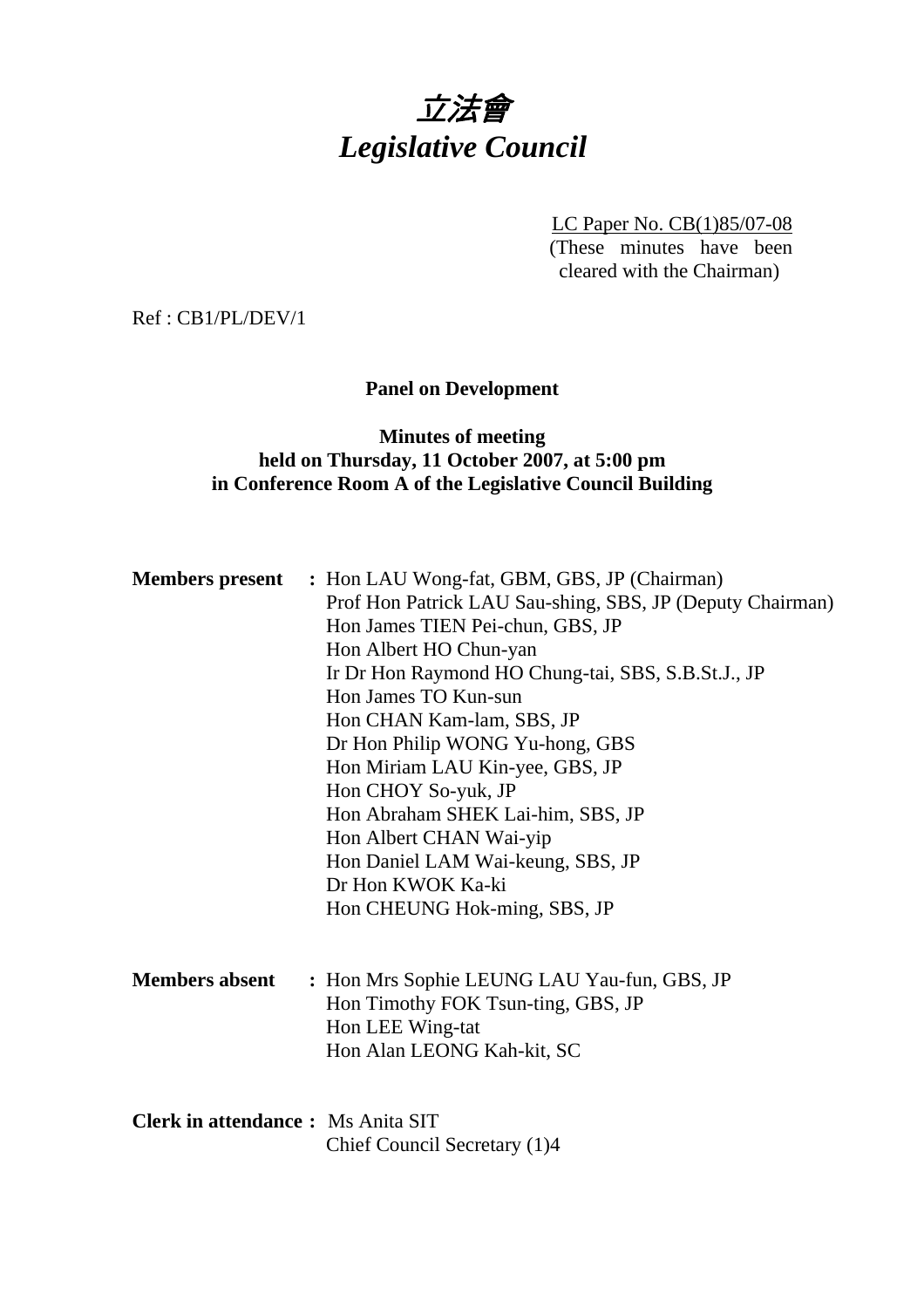# 立法會 *Legislative Council*

LC Paper No. CB(1)85/07-08 (These minutes have been cleared with the Chairman)

Ref : CB1/PL/DEV/1

## **Panel on Development**

## **Minutes of meeting held on Thursday, 11 October 2007, at 5:00 pm in Conference Room A of the Legislative Council Building**

|                                          | <b>Members present</b> : Hon LAU Wong-fat, GBM, GBS, JP (Chairman)<br>Prof Hon Patrick LAU Sau-shing, SBS, JP (Deputy Chairman)<br>Hon James TIEN Pei-chun, GBS, JP<br>Hon Albert HO Chun-yan<br>Ir Dr Hon Raymond HO Chung-tai, SBS, S.B.St.J., JP<br>Hon James TO Kun-sun<br>Hon CHAN Kam-lam, SBS, JP<br>Dr Hon Philip WONG Yu-hong, GBS<br>Hon Miriam LAU Kin-yee, GBS, JP<br>Hon CHOY So-yuk, JP<br>Hon Abraham SHEK Lai-him, SBS, JP<br>Hon Albert CHAN Wai-yip<br>Hon Daniel LAM Wai-keung, SBS, JP<br>Dr Hon KWOK Ka-ki<br>Hon CHEUNG Hok-ming, SBS, JP |
|------------------------------------------|-----------------------------------------------------------------------------------------------------------------------------------------------------------------------------------------------------------------------------------------------------------------------------------------------------------------------------------------------------------------------------------------------------------------------------------------------------------------------------------------------------------------------------------------------------------------|
| <b>Members absent</b>                    | : Hon Mrs Sophie LEUNG LAU Yau-fun, GBS, JP<br>Hon Timothy FOK Tsun-ting, GBS, JP<br>Hon LEE Wing-tat<br>Hon Alan LEONG Kah-kit, SC                                                                                                                                                                                                                                                                                                                                                                                                                             |
| <b>Clerk in attendance:</b> Ms Anita SIT | Chief Council Secretary (1)4                                                                                                                                                                                                                                                                                                                                                                                                                                                                                                                                    |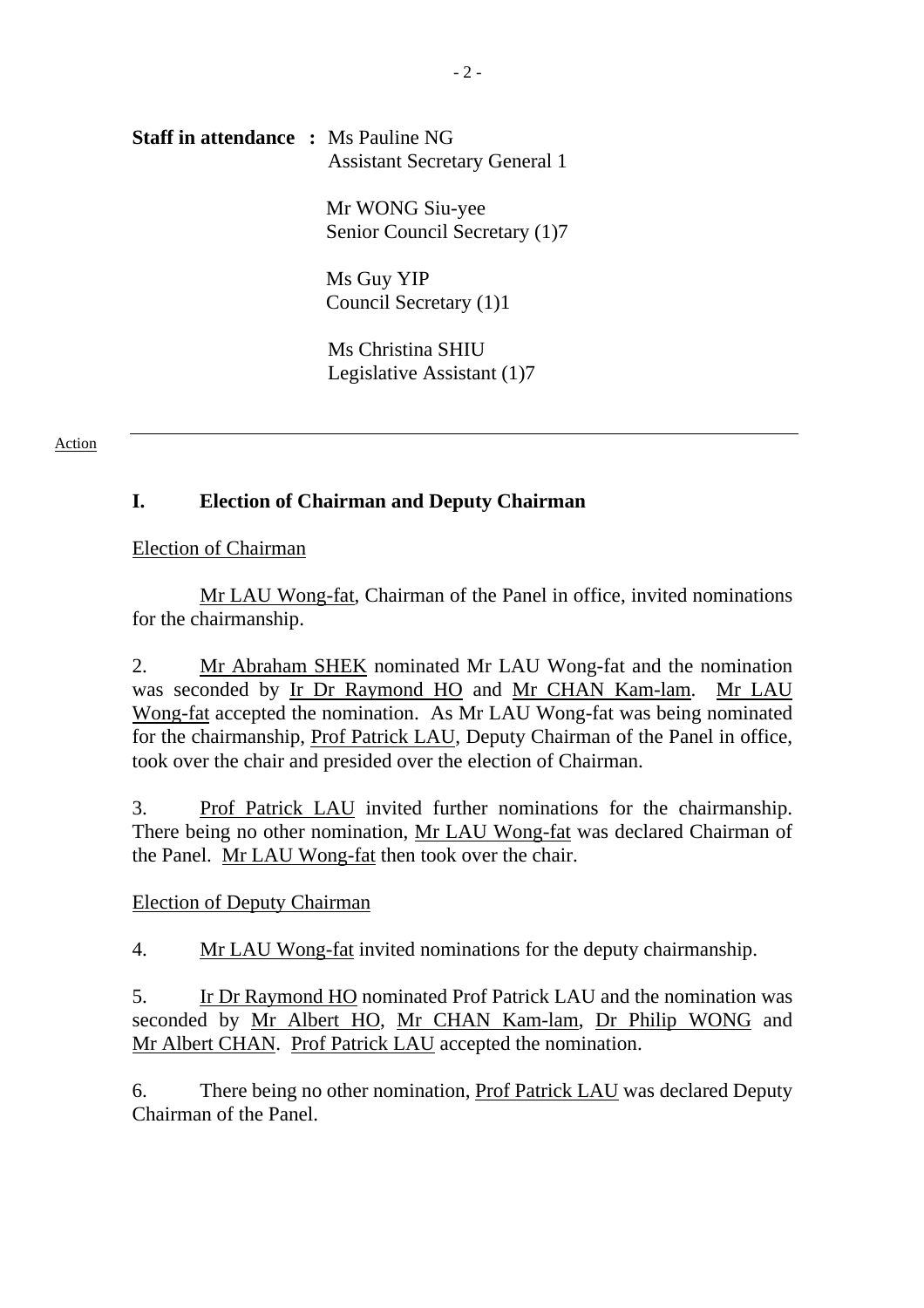## **Staff in attendance :** Ms Pauline NG Assistant Secretary General 1

Mr WONG Siu-yee Senior Council Secretary (1)7

Ms Guy YIP Council Secretary (1)1

 Ms Christina SHIU Legislative Assistant (1)7

#### Action

## **I. Election of Chairman and Deputy Chairman**

Election of Chairman

 Mr LAU Wong-fat, Chairman of the Panel in office, invited nominations for the chairmanship.

2. Mr Abraham SHEK nominated Mr LAU Wong-fat and the nomination was seconded by Ir Dr Raymond HO and Mr CHAN Kam-lam. Mr LAU Wong-fat accepted the nomination. As Mr LAU Wong-fat was being nominated for the chairmanship, Prof Patrick LAU, Deputy Chairman of the Panel in office, took over the chair and presided over the election of Chairman.

3. Prof Patrick LAU invited further nominations for the chairmanship. There being no other nomination, Mr LAU Wong-fat was declared Chairman of the Panel. Mr LAU Wong-fat then took over the chair.

## Election of Deputy Chairman

4. Mr LAU Wong-fat invited nominations for the deputy chairmanship.

5. Ir Dr Raymond HO nominated Prof Patrick LAU and the nomination was seconded by Mr Albert HO, Mr CHAN Kam-lam, Dr Philip WONG and Mr Albert CHAN. Prof Patrick LAU accepted the nomination.

6. There being no other nomination, Prof Patrick LAU was declared Deputy Chairman of the Panel.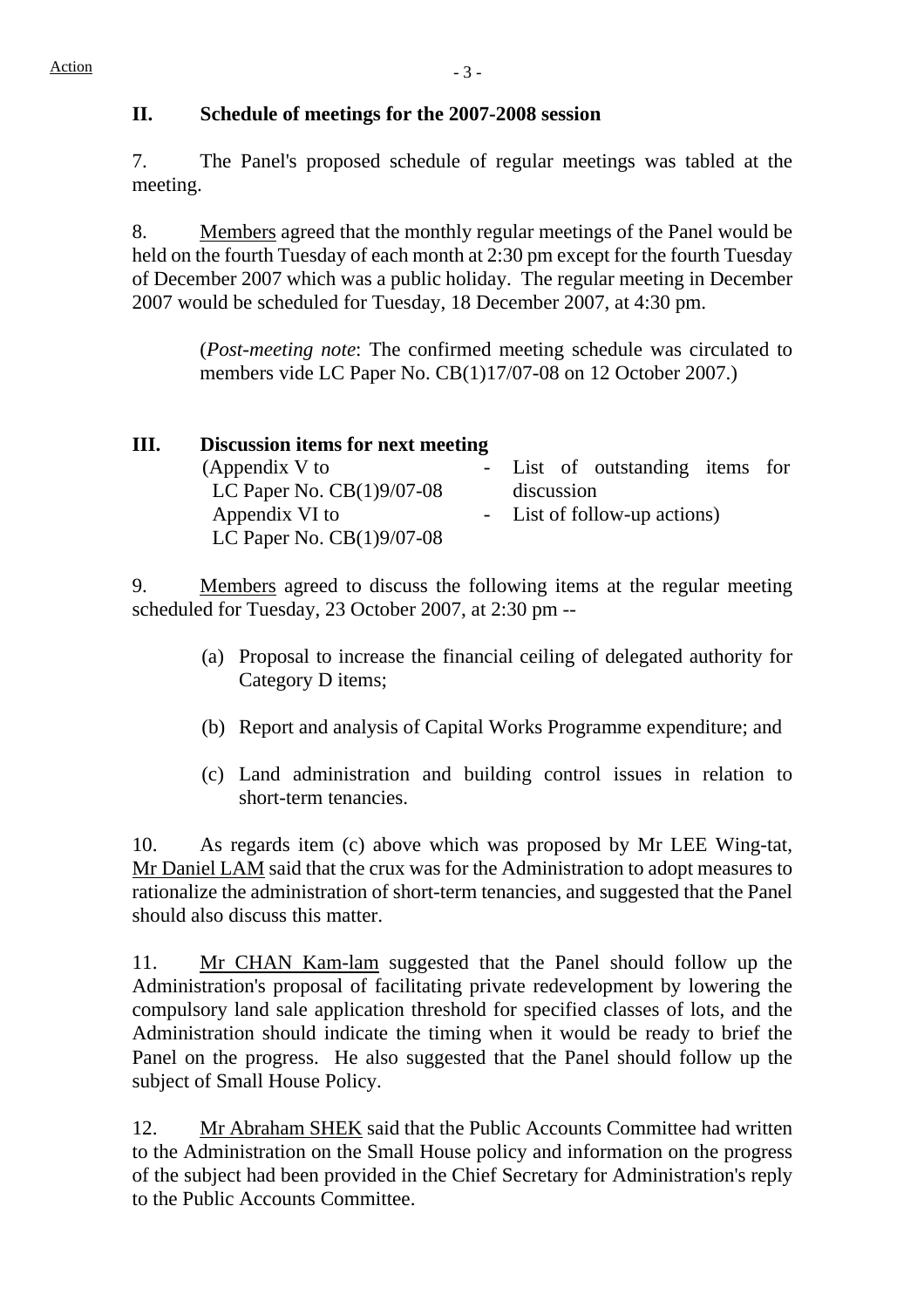#### **II. Schedule of meetings for the 2007-2008 session**

7. The Panel's proposed schedule of regular meetings was tabled at the meeting.

8. Members agreed that the monthly regular meetings of the Panel would be held on the fourth Tuesday of each month at 2:30 pm except for the fourth Tuesday of December 2007 which was a public holiday. The regular meeting in December 2007 would be scheduled for Tuesday, 18 December 2007, at 4:30 pm.

> (*Post-meeting note*: The confirmed meeting schedule was circulated to members vide LC Paper No. CB(1)17/07-08 on 12 October 2007.)

| Ш. | Discussion items for next meeting |  |                                 |  |  |
|----|-----------------------------------|--|---------------------------------|--|--|
|    | (Appendix V to                    |  | - List of outstanding items for |  |  |
|    | LC Paper No. $CB(1)9/07-08$       |  | discussion                      |  |  |
|    | Appendix VI to                    |  | - List of follow-up actions)    |  |  |
|    | LC Paper No. $CB(1)9/07-08$       |  |                                 |  |  |

9. Members agreed to discuss the following items at the regular meeting scheduled for Tuesday, 23 October 2007, at 2:30 pm --

- (a) Proposal to increase the financial ceiling of delegated authority for Category D items;
- (b) Report and analysis of Capital Works Programme expenditure; and
- (c) Land administration and building control issues in relation to short-term tenancies.

10. As regards item (c) above which was proposed by Mr LEE Wing-tat, Mr Daniel LAM said that the crux was for the Administration to adopt measures to rationalize the administration of short-term tenancies, and suggested that the Panel should also discuss this matter.

11. Mr CHAN Kam-lam suggested that the Panel should follow up the Administration's proposal of facilitating private redevelopment by lowering the compulsory land sale application threshold for specified classes of lots, and the Administration should indicate the timing when it would be ready to brief the Panel on the progress. He also suggested that the Panel should follow up the subject of Small House Policy.

12. Mr Abraham SHEK said that the Public Accounts Committee had written to the Administration on the Small House policy and information on the progress of the subject had been provided in the Chief Secretary for Administration's reply to the Public Accounts Committee.